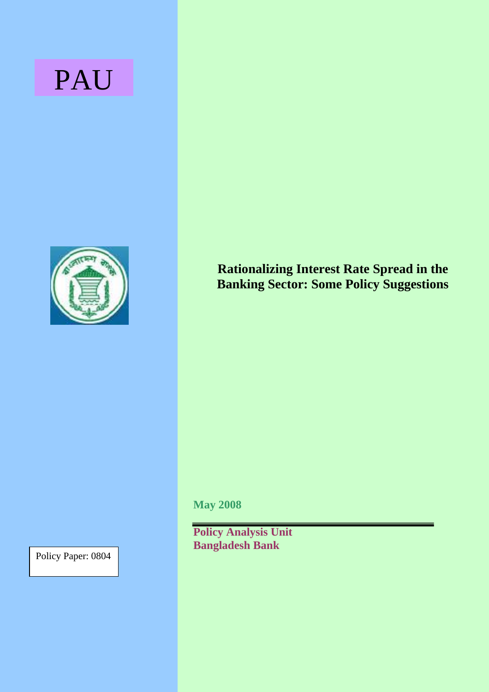# PAU



**Rationalizing Interest Rate Spread in the Banking Sector: Some Policy Suggestions** 

**May 2008** 

**Policy Analysis Unit Bangladesh Bank**

Policy Paper: 0804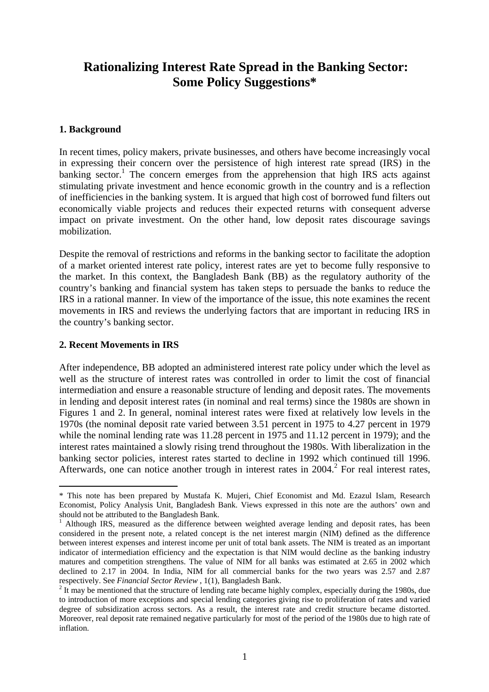# **Rationalizing Interest Rate Spread in the Banking Sector: Some Policy Suggestions\***

#### **1. Background**

In recent times, policy makers, private businesses, and others have become increasingly vocal in expressing their concern over the persistence of high interest rate spread (IRS) in the banking sector.<sup>1</sup> The concern emerges from the apprehension that high IRS acts against stimulating private investment and hence economic growth in the country and is a reflection of inefficiencies in the banking system. It is argued that high cost of borrowed fund filters out economically viable projects and reduces their expected returns with consequent adverse impact on private investment. On the other hand, low deposit rates discourage savings mobilization.

Despite the removal of restrictions and reforms in the banking sector to facilitate the adoption of a market oriented interest rate policy, interest rates are yet to become fully responsive to the market. In this context, the Bangladesh Bank (BB) as the regulatory authority of the country's banking and financial system has taken steps to persuade the banks to reduce the IRS in a rational manner. In view of the importance of the issue, this note examines the recent movements in IRS and reviews the underlying factors that are important in reducing IRS in the country's banking sector.

#### **2. Recent Movements in IRS**

 $\overline{a}$ 

After independence, BB adopted an administered interest rate policy under which the level as well as the structure of interest rates was controlled in order to limit the cost of financial intermediation and ensure a reasonable structure of lending and deposit rates. The movements in lending and deposit interest rates (in nominal and real terms) since the 1980s are shown in Figures 1 and 2. In general, nominal interest rates were fixed at relatively low levels in the 1970s (the nominal deposit rate varied between 3.51 percent in 1975 to 4.27 percent in 1979 while the nominal lending rate was 11.28 percent in 1975 and 11.12 percent in 1979); and the interest rates maintained a slowly rising trend throughout the 1980s. With liberalization in the banking sector policies, interest rates started to decline in 1992 which continued till 1996. Afterwards, one can notice another trough in interest rates in [2](#page-1-1)004.<sup>2</sup> For real interest rates,

<span id="page-1-0"></span><sup>\*</sup> This note has been prepared by Mustafa K. Mujeri, Chief Economist and Md. Ezazul Islam, Research Economist, Policy Analysis Unit, Bangladesh Bank. Views expressed in this note are the authors' own and should not be attributed to the Bangladesh Bank. 1

 $<sup>1</sup>$  Although IRS, measured as the difference between weighted average lending and deposit rates, has been</sup> considered in the present note, a related concept is the net interest margin (NIM) defined as the difference between interest expenses and interest income per unit of total bank assets. The NIM is treated as an important indicator of intermediation efficiency and the expectation is that NIM would decline as the banking industry matures and competition strengthens. The value of NIM for all banks was estimated at 2.65 in 2002 which declined to 2.17 in 2004. In India, NIM for all commercial banks for the two years was 2.57 and 2.87 respectively. See *Financial Sector Review* , 1(1), Bangladesh Bank. 2

<span id="page-1-1"></span><sup>&</sup>lt;sup>2</sup> It may be mentioned that the structure of lending rate became highly complex, especially during the 1980s, due to introduction of more exceptions and special lending categories giving rise to proliferation of rates and varied degree of subsidization across sectors. As a result, the interest rate and credit structure became distorted. Moreover, real deposit rate remained negative particularly for most of the period of the 1980s due to high rate of inflation.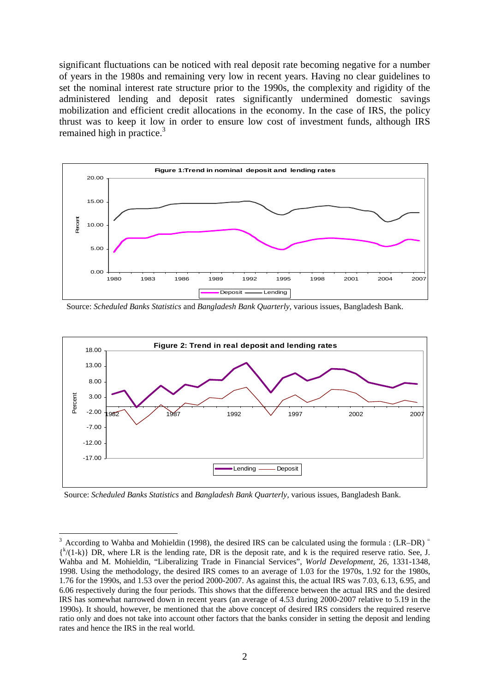significant fluctuations can be noticed with real deposit rate becoming negative for a number of years in the 1980s and remaining very low in recent years. Having no clear guidelines to set the nominal interest rate structure prior to the 1990s, the complexity and rigidity of the administered lending and deposit rates significantly undermined domestic savings mobilization and efficient credit allocations in the economy. In the case of IRS, the policy thrust was to keep it low in order to ensure low cost of investment funds, although IRS remained high in practice.<sup>3</sup>



Source: *Scheduled Banks Statistics* and *Bangladesh Bank Quarterly,* various issues, Bangladesh Bank.



Source: *Scheduled Banks Statistics* and *Bangladesh Bank Quarterly,* various issues, Bangladesh Bank.

 $\overline{a}$ 

<span id="page-2-0"></span>According to Wahba and Mohieldin (1998), the desired IRS can be calculated using the formula :  $(LR-DR)$ <sup>=</sup>  $\{k/(1-k)\}\$  DR, where LR is the lending rate, DR is the deposit rate, and k is the required reserve ratio. See, J. Wahba and M. Mohieldin, "Liberalizing Trade in Financial Services", *World Development,* 26, 1331-1348, 1998. Using the methodology, the desired IRS comes to an average of 1.03 for the 1970s, 1.92 for the 1980s, 1.76 for the 1990s, and 1.53 over the period 2000-2007. As against this, the actual IRS was 7.03, 6.13, 6.95, and 6.06 respectively during the four periods. This shows that the difference between the actual IRS and the desired IRS has somewhat narrowed down in recent years (an average of 4.53 during 2000-2007 relative to 5.19 in the 1990s). It should, however, be mentioned that the above concept of desired IRS considers the required reserve ratio only and does not take into account other factors that the banks consider in setting the deposit and lending rates and hence the IRS in the real world.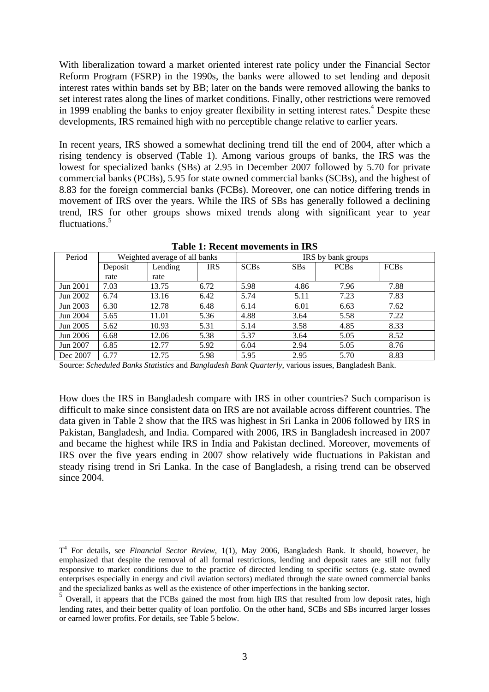With liberalization toward a market oriented interest rate policy under the Financial Sector Reform Program (FSRP) in the 1990s, the banks were allowed to set lending and deposit interest rates within bands set by BB; later on the bands were removed allowing the banks to set interest rates along the lines of market conditions. Finally, other restrictions were removed in 1999 enabling the banks to enjoy greater flexibility in setting interest rates.<sup>[4](#page-3-0)</sup> Despite these developments, IRS remained high with no perceptible change relative to earlier years.

In recent years, IRS showed a somewhat declining trend till the end of 2004, after which a rising tendency is observed (Table 1). Among various groups of banks, the IRS was the lowest for specialized banks (SBs) at 2.95 in December 2007 followed by 5.70 for private commercial banks (PCBs), 5.95 for state owned commercial banks (SCBs), and the highest of 8.83 for the foreign commercial banks (FCBs). Moreover, one can notice differing trends in movement of IRS over the years. While the IRS of SBs has generally followed a declining trend, IRS for other groups shows mixed trends along with significant year to year fluctuations.<sup>[5](#page-3-1)</sup>

| Period   | Weighted average of all banks |         |            | IRS by bank groups |            |             |             |
|----------|-------------------------------|---------|------------|--------------------|------------|-------------|-------------|
|          | Deposit                       | Lending | <b>IRS</b> | <b>SCBs</b>        | <b>SBs</b> | <b>PCBs</b> | <b>FCBs</b> |
|          | rate                          | rate    |            |                    |            |             |             |
| Jun 2001 | 7.03                          | 13.75   | 6.72       | 5.98               | 4.86       | 7.96        | 7.88        |
| Jun 2002 | 6.74                          | 13.16   | 6.42       | 5.74               | 5.11       | 7.23        | 7.83        |
| Jun 2003 | 6.30                          | 12.78   | 6.48       | 6.14               | 6.01       | 6.63        | 7.62        |
| Jun 2004 | 5.65                          | 11.01   | 5.36       | 4.88               | 3.64       | 5.58        | 7.22        |
| Jun 2005 | 5.62                          | 10.93   | 5.31       | 5.14               | 3.58       | 4.85        | 8.33        |
| Jun 2006 | 6.68                          | 12.06   | 5.38       | 5.37               | 3.64       | 5.05        | 8.52        |
| Jun 2007 | 6.85                          | 12.77   | 5.92       | 6.04               | 2.94       | 5.05        | 8.76        |
| Dec 2007 | 6.77                          | 12.75   | 5.98       | 5.95               | 2.95       | 5.70        | 8.83        |

**Table 1: Recent movements in IRS** 

Source: *Scheduled Banks Statistics* and *Bangladesh Bank Quarterly,* various issues, Bangladesh Bank.

How does the IRS in Bangladesh compare with IRS in other countries? Such comparison is difficult to make since consistent data on IRS are not available across different countries. The data given in Table 2 show that the IRS was highest in Sri Lanka in 2006 followed by IRS in Pakistan, Bangladesh, and India. Compared with 2006, IRS in Bangladesh increased in 2007 and became the highest while IRS in India and Pakistan declined. Moreover, movements of IRS over the five years ending in 2007 show relatively wide fluctuations in Pakistan and steady rising trend in Sri Lanka. In the case of Bangladesh, a rising trend can be observed since 2004.

 $\overline{a}$ 

<span id="page-3-0"></span>T4 For details, see *Financial Sector Review,* 1(1), May 2006, Bangladesh Bank. It should, however, be emphasized that despite the removal of all formal restrictions, lending and deposit rates are still not fully responsive to market conditions due to the practice of directed lending to specific sectors (e.g. state owned enterprises especially in energy and civil aviation sectors) mediated through the state owned commercial banks

<span id="page-3-1"></span> $\frac{1}{2}$  Overall, it appears that the FCBs gained the most from high IRS that resulted from low deposit rates, high lending rates, and their better quality of loan portfolio. On the other hand, SCBs and SBs incurred larger losses or earned lower profits. For details, see Table 5 below.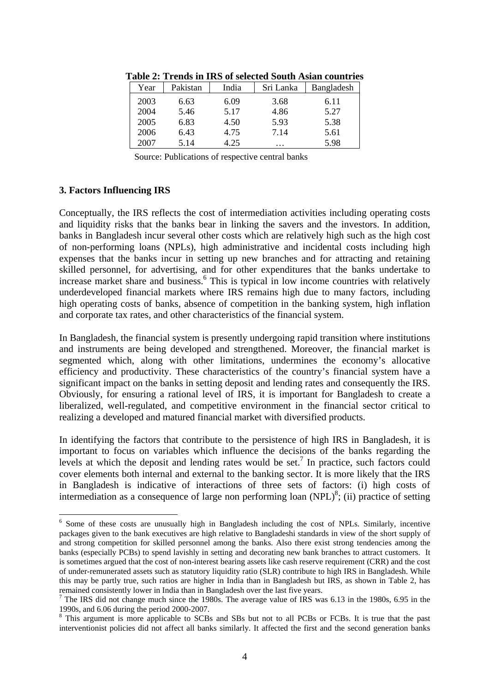| Year | Pakistan | India | Sri Lanka | Bangladesh |
|------|----------|-------|-----------|------------|
| 2003 | 6.63     | 6.09  | 3.68      | 6.11       |
| 2004 | 5.46     | 5.17  | 4.86      | 5.27       |
| 2005 | 6.83     | 4.50  | 5.93      | 5.38       |
| 2006 | 6.43     | 4.75  | 7.14      | 5.61       |
| 2007 | 5.14     | 4.25  | $\cdots$  | 5.98       |

**Table 2: Trends in IRS of selected South Asian countries** 

Source: Publications of respective central banks

#### **3. Factors Influencing IRS**

 $\overline{a}$ 

Conceptually, the IRS reflects the cost of intermediation activities including operating costs and liquidity risks that the banks bear in linking the savers and the investors. In addition, banks in Bangladesh incur several other costs which are relatively high such as the high cost of non-performing loans (NPLs), high administrative and incidental costs including high expenses that the banks incur in setting up new branches and for attracting and retaining skilled personnel, for advertising, and for other expenditures that the banks undertake to increase market share and business.<sup>[6](#page-4-0)</sup> This is typical in low income countries with relatively underdeveloped financial markets where IRS remains high due to many factors, including high operating costs of banks, absence of competition in the banking system, high inflation and corporate tax rates, and other characteristics of the financial system.

In Bangladesh, the financial system is presently undergoing rapid transition where institutions and instruments are being developed and strengthened. Moreover, the financial market is segmented which, along with other limitations, undermines the economy's allocative efficiency and productivity. These characteristics of the country's financial system have a significant impact on the banks in setting deposit and lending rates and consequently the IRS. Obviously, for ensuring a rational level of IRS, it is important for Bangladesh to create a liberalized, well-regulated, and competitive environment in the financial sector critical to realizing a developed and matured financial market with diversified products.

In identifying the factors that contribute to the persistence of high IRS in Bangladesh, it is important to focus on variables which influence the decisions of the banks regarding the levels at which the deposit and lending rates would be set.<sup>7</sup> In practice, such factors could cover elements both internal and external to the banking sector. It is more likely that the IRS in Bangladesh is indicative of interactions of three sets of factors: (i) high costs of intermediation as a consequence of large non performing loan  $(NPL)^8$ ; (ii) practice of setting

<span id="page-4-0"></span><sup>&</sup>lt;sup>6</sup> Some of these costs are unusually high in Bangladesh including the cost of NPLs. Similarly, incentive packages given to the bank executives are high relative to Bangladeshi standards in view of the short supply of and strong competition for skilled personnel among the banks. Also there exist strong tendencies among the banks (especially PCBs) to spend lavishly in setting and decorating new bank branches to attract customers. It is sometimes argued that the cost of non-interest bearing assets like cash reserve requirement (CRR) and the cost of under-remunerated assets such as statutory liquidity ratio (SLR) contribute to high IRS in Bangladesh. While this may be partly true, such ratios are higher in India than in Bangladesh but IRS, as shown in Table 2, has remained consistently lower in India than in Bangladesh over the last five years. 7

<span id="page-4-1"></span> $7$  The IRS did not change much since the 1980s. The average value of IRS was 6.13 in the 1980s, 6.95 in the 1990s, and 6.06 during the period 2000-2007. 8

<span id="page-4-2"></span><sup>&</sup>lt;sup>8</sup> This argument is more applicable to SCBs and SBs but not to all PCBs or FCBs. It is true that the past interventionist policies did not affect all banks similarly. It affected the first and the second generation banks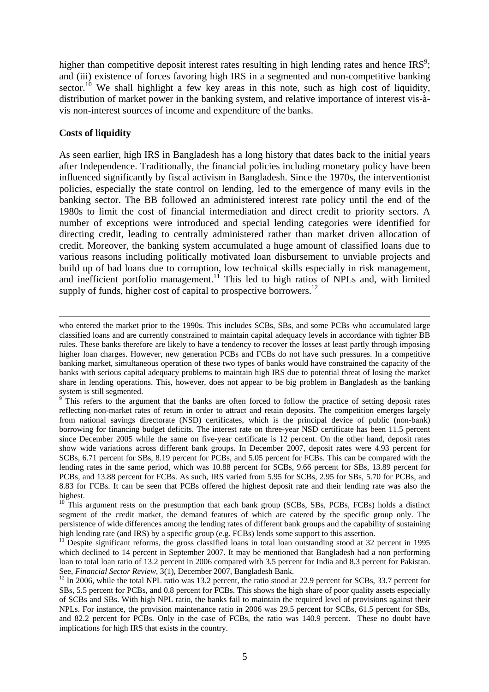higher than competitive deposit interest rates resulting in high lending rates and hence  $IRS^9$ ; and (iii) existence of forces favoring high IRS in a segmented and non-competitive banking sector.<sup>10</sup> We shall highlight a few key areas in this note, such as high cost of liquidity, distribution of market power in the banking system, and relative importance of interest vis-àvis non-interest sources of income and expenditure of the banks.

#### **Costs of liquidity**

As seen earlier, high IRS in Bangladesh has a long history that dates back to the initial years after Independence. Traditionally, the financial policies including monetary policy have been influenced significantly by fiscal activism in Bangladesh. Since the 1970s, the interventionist policies, especially the state control on lending, led to the emergence of many evils in the banking sector. The BB followed an administered interest rate policy until the end of the 1980s to limit the cost of financial intermediation and direct credit to priority sectors. A number of exceptions were introduced and special lending categories were identified for directing credit, leading to centrally administered rather than market driven allocation of credit. Moreover, the banking system accumulated a huge amount of classified loans due to various reasons including politically motivated loan disbursement to unviable projects and build up of bad loans due to corruption, low technical skills especially in risk management, and inefficient portfolio management.<sup>11</sup> This led to high ratios of NPLs and, with limited supply of funds, higher cost of capital to prospective borrowers. $^{12}$ 

who entered the market prior to the 1990s. This includes SCBs, SBs, and some PCBs who accumulated large classified loans and are currently constrained to maintain capital adequacy levels in accordance with tighter BB rules. These banks therefore are likely to have a tendency to recover the losses at least partly through imposing higher loan charges. However, new generation PCBs and FCBs do not have such pressures. In a competitive banking market, simultaneous operation of these two types of banks would have constrained the capacity of the banks with serious capital adequacy problems to maintain high IRS due to potential threat of losing the market share in lending operations. This, however, does not appear to be big problem in Bangladesh as the banking

<span id="page-5-0"></span>system is still segmented.<br><sup>9</sup> This refers to the argument that the banks are often forced to follow the practice of setting deposit rates reflecting non-market rates of return in order to attract and retain deposits. The competition emerges largely from national savings directorate (NSD) certificates, which is the principal device of public (non-bank) borrowing for financing budget deficits. The interest rate on three-year NSD certificate has been 11.5 percent since December 2005 while the same on five-year certificate is 12 percent. On the other hand, deposit rates show wide variations across different bank groups. In December 2007, deposit rates were 4.93 percent for SCBs, 6.71 percent for SBs, 8.19 percent for PCBs, and 5.05 percent for FCBs. This can be compared with the lending rates in the same period, which was 10.88 percent for SCBs, 9.66 percent for SBs, 13.89 percent for PCBs, and 13.88 percent for FCBs. As such, IRS varied from 5.95 for SCBs, 2.95 for SBs, 5.70 for PCBs, and 8.83 for FCBs. It can be seen that PCBs offered the highest deposit rate and their lending rate was also the

<span id="page-5-1"></span>highest.<br><sup>10</sup> This argument rests on the presumption that each bank group (SCBs, SBs, PCBs, FCBs) holds a distinct segment of the credit market, the demand features of which are catered by the specific group only. The persistence of wide differences among the lending rates of different bank groups and the capability of sustaining high lending rate (and IRS) by a specific group (e.g. FCBs) lends some support to this assertion.

<span id="page-5-2"></span> $\frac{11}{11}$  Despite significant reforms, the gross classified loans in total loan outstanding stood at 32 percent in 1995 which declined to 14 percent in September 2007. It may be mentioned that Bangladesh had a non performing loan to total loan ratio of 13.2 percent in 2006 compared with 3.5 percent for India and 8.3 percent for Pakistan.<br>See, *Financial Sector Review*, 3(1), December 2007, Bangladesh Bank.

<span id="page-5-3"></span><sup>&</sup>lt;sup>12</sup> In 2006, while the total NPL ratio was 13.2 percent, the ratio stood at 22.9 percent for SCBs, 33.7 percent for SBs, 5.5 percent for PCBs, and 0.8 percent for FCBs. This shows the high share of poor quality assets especially of SCBs and SBs. With high NPL ratio, the banks fail to maintain the required level of provisions against their NPLs. For instance, the provision maintenance ratio in 2006 was 29.5 percent for SCBs, 61.5 percent for SBs, and 82.2 percent for PCBs. Only in the case of FCBs, the ratio was 140.9 percent. These no doubt have implications for high IRS that exists in the country.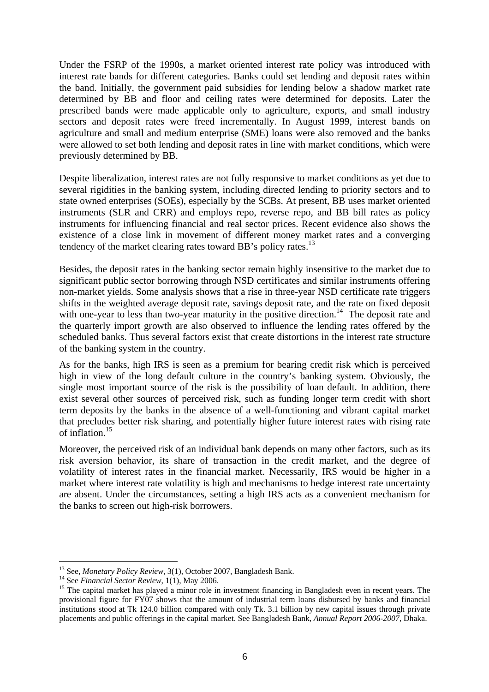Under the FSRP of the 1990s, a market oriented interest rate policy was introduced with interest rate bands for different categories. Banks could set lending and deposit rates within the band. Initially, the government paid subsidies for lending below a shadow market rate determined by BB and floor and ceiling rates were determined for deposits. Later the prescribed bands were made applicable only to agriculture, exports, and small industry sectors and deposit rates were freed incrementally. In August 1999, interest bands on agriculture and small and medium enterprise (SME) loans were also removed and the banks were allowed to set both lending and deposit rates in line with market conditions, which were previously determined by BB.

Despite liberalization, interest rates are not fully responsive to market conditions as yet due to several rigidities in the banking system, including directed lending to priority sectors and to state owned enterprises (SOEs), especially by the SCBs. At present, BB uses market oriented instruments (SLR and CRR) and employs repo, reverse repo, and BB bill rates as policy instruments for influencing financial and real sector prices. Recent evidence also shows the existence of a close link in movement of different money market rates and a converging tendency of the market clearing rates toward BB's policy rates.<sup>13</sup>

Besides, the deposit rates in the banking sector remain highly insensitive to the market due to significant public sector borrowing through NSD certificates and similar instruments offering non-market yields. Some analysis shows that a rise in three-year NSD certificate rate triggers shifts in the weighted average deposit rate, savings deposit rate, and the rate on fixed deposit with one-year to less than two-year maturity in the positive direction.<sup>14</sup> The deposit rate and the quarterly import growth are also observed to influence the lending rates offered by the scheduled banks. Thus several factors exist that create distortions in the interest rate structure of the banking system in the country.

As for the banks, high IRS is seen as a premium for bearing credit risk which is perceived high in view of the long default culture in the country's banking system. Obviously, the single most important source of the risk is the possibility of loan default. In addition, there exist several other sources of perceived risk, such as funding longer term credit with short term deposits by the banks in the absence of a well-functioning and vibrant capital market that precludes better risk sharing, and potentially higher future interest rates with rising rate of inflation.[15](#page-6-2) 

Moreover, the perceived risk of an individual bank depends on many other factors, such as its risk aversion behavior, its share of transaction in the credit market, and the degree of volatility of interest rates in the financial market. Necessarily, IRS would be higher in a market where interest rate volatility is high and mechanisms to hedge interest rate uncertainty are absent. Under the circumstances, setting a high IRS acts as a convenient mechanism for the banks to screen out high-risk borrowers.

<span id="page-6-0"></span><sup>&</sup>lt;sup>13</sup> See, *Monetary Policy Review*, 3(1), October 2007, Bangladesh Bank.

<span id="page-6-2"></span><span id="page-6-1"></span>

<sup>&</sup>lt;sup>14</sup> See *Financial Sector Review*,  $1(1)$ , May 2006.<br><sup>15</sup> The capital market has played a minor role in investment financing in Bangladesh even in recent years. The provisional figure for FY07 shows that the amount of industrial term loans disbursed by banks and financial institutions stood at Tk 124.0 billion compared with only Tk. 3.1 billion by new capital issues through private placements and public offerings in the capital market. See Bangladesh Bank, *Annual Report 2006-2007,* Dhaka.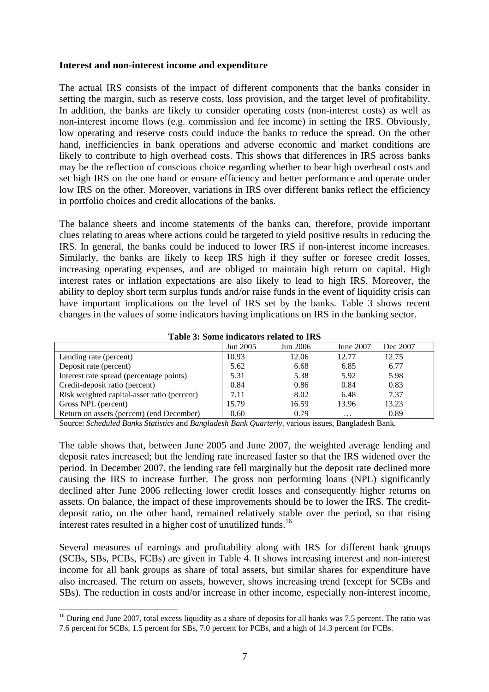#### **Interest and non-interest income and expenditure**

The actual IRS consists of the impact of different components that the banks consider in setting the margin, such as reserve costs, loss provision, and the target level of profitability. In addition, the banks are likely to consider operating costs (non-interest costs) as well as non-interest income flows (e.g. commission and fee income) in setting the IRS. Obviously, low operating and reserve costs could induce the banks to reduce the spread. On the other hand, inefficiencies in bank operations and adverse economic and market conditions are likely to contribute to high overhead costs. This shows that differences in IRS across banks may be the reflection of conscious choice regarding whether to bear high overhead costs and set high IRS on the one hand or ensure efficiency and better performance and operate under low IRS on the other. Moreover, variations in IRS over different banks reflect the efficiency in portfolio choices and credit allocations of the banks.

The balance sheets and income statements of the banks can, therefore, provide important clues relating to areas where actions could be targeted to yield positive results in reducing the IRS. In general, the banks could be induced to lower IRS if non-interest income increases. Similarly, the banks are likely to keep IRS high if they suffer or foresee credit losses, increasing operating expenses, and are obliged to maintain high return on capital. High interest rates or inflation expectations are also likely to lead to high IRS. Moreover, the ability to deploy short term surplus funds and/or raise funds in the event of liquidity crisis can have important implications on the level of IRS set by the banks. Table 3 shows recent changes in the values of some indicators having implications on IRS in the banking sector.

| Table 5: Some mulcators related to TRS      |          |          |           |          |  |  |  |  |
|---------------------------------------------|----------|----------|-----------|----------|--|--|--|--|
|                                             | Jun 2005 | Jun 2006 | June 2007 | Dec 2007 |  |  |  |  |
| Lending rate (percent)                      | 10.93    | 12.06    | 12.77     | 12.75    |  |  |  |  |
| Deposit rate (percent)                      | 5.62     | 6.68     | 6.85      | 6.77     |  |  |  |  |
| Interest rate spread (percentage points)    | 5.31     | 5.38     | 5.92      | 5.98     |  |  |  |  |
| Credit-deposit ratio (percent)              | 0.84     | 0.86     | 0.84      | 0.83     |  |  |  |  |
| Risk weighted capital-asset ratio (percent) | 7.11     | 8.02     | 6.48      | 7.37     |  |  |  |  |
| Gross NPL (percent)                         | 15.79    | 16.59    | 13.96     | 13.23    |  |  |  |  |
| Return on assets (percent) (end December)   | 0.60     | 0.79     | $\cdots$  | 0.89     |  |  |  |  |

**Table 3: Some indicators related to IRS** 

Source: *Scheduled Banks Statistics* and *Bangladesh Bank Quarterly,* various issues, Bangladesh Bank.

The table shows that, between June 2005 and June 2007, the weighted average lending and deposit rates increased; but the lending rate increased faster so that the IRS widened over the period. In December 2007, the lending rate fell marginally but the deposit rate declined more causing the IRS to increase further. The gross non performing loans (NPL) significantly declined after June 2006 reflecting lower credit losses and consequently higher returns on assets. On balance, the impact of these improvements should be to lower the IRS. The creditdeposit ratio, on the other hand, remained relatively stable over the period, so that rising interest rates resulted in a higher cost of unutilized funds.<sup>16</sup>

Several measures of earnings and profitability along with IRS for different bank groups (SCBs, SBs, PCBs, FCBs) are given in Table 4. It shows increasing interest and non-interest income for all bank groups as share of total assets, but similar shares for expenditure have also increased. The return on assets, however, shows increasing trend (except for SCBs and SBs). The reduction in costs and/or increase in other income, especially non-interest income,

 $\overline{a}$ 

<span id="page-7-0"></span><sup>&</sup>lt;sup>16</sup> During end June 2007, total excess liquidity as a share of deposits for all banks was 7.5 percent. The ratio was 7.6 percent for SCBs, 1.5 percent for SBs, 7.0 percent for PCBs, and a high of 14.3 percent for FCBs.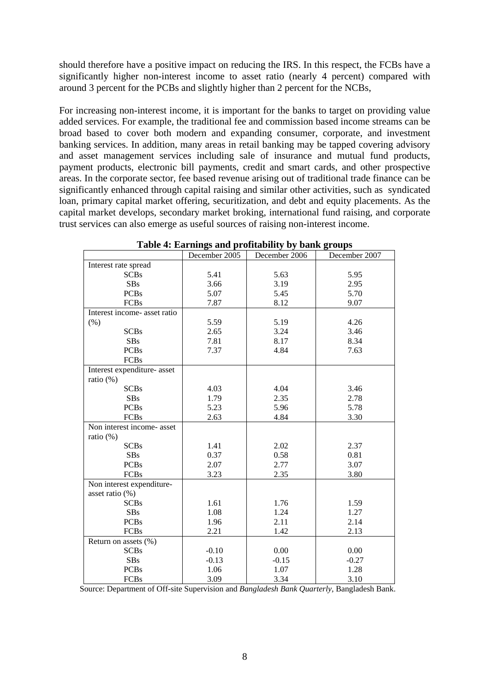should therefore have a positive impact on reducing the IRS. In this respect, the FCBs have a significantly higher non-interest income to asset ratio (nearly 4 percent) compared with around 3 percent for the PCBs and slightly higher than 2 percent for the NCBs,

For increasing non-interest income, it is important for the banks to target on providing value added services. For example, the traditional fee and commission based income streams can be broad based to cover both modern and expanding consumer, corporate, and investment banking services. In addition, many areas in retail banking may be tapped covering advisory and asset management services including sale of insurance and mutual fund products, payment products, electronic bill payments, credit and smart cards, and other prospective areas. In the corporate sector, fee based revenue arising out of traditional trade finance can be significantly enhanced through capital raising and similar other activities, such as syndicated loan, primary capital market offering, securitization, and debt and equity placements. As the capital market develops, secondary market broking, international fund raising, and corporate trust services can also emerge as useful sources of raising non-interest income.

|                              | December 2005 | December 2006 | December 2007 |
|------------------------------|---------------|---------------|---------------|
| Interest rate spread         |               |               |               |
| <b>SCBs</b>                  | 5.41          | 5.63          | 5.95          |
| <b>SBs</b>                   | 3.66          | 3.19          | 2.95          |
| <b>PCBs</b>                  | 5.07          | 5.45          | 5.70          |
| <b>FCBs</b>                  | 7.87          | 8.12          | 9.07          |
| Interest income- asset ratio |               |               |               |
| (% )                         | 5.59          | 5.19          | 4.26          |
| <b>SCBs</b>                  | 2.65          | 3.24          | 3.46          |
| <b>SBs</b>                   | 7.81          | 8.17          | 8.34          |
| <b>PCBs</b>                  | 7.37          | 4.84          | 7.63          |
| <b>FCBs</b>                  |               |               |               |
| Interest expenditure- asset  |               |               |               |
| ratio $(\%)$                 |               |               |               |
| <b>SCBs</b>                  | 4.03          | 4.04          | 3.46          |
| <b>SBs</b>                   | 1.79          | 2.35          | 2.78          |
| <b>PCBs</b>                  | 5.23          | 5.96          | 5.78          |
| <b>FCBs</b>                  | 2.63          | 4.84          | 3.30          |
| Non interest income- asset   |               |               |               |
| ratio $(\%)$                 |               |               |               |
| <b>SCBs</b>                  | 1.41          | 2.02          | 2.37          |
| <b>SBs</b>                   | 0.37          | 0.58          | 0.81          |
| <b>PCBs</b>                  | 2.07          | 2.77          | 3.07          |
| <b>FCBs</b>                  | 3.23          | 2.35          | 3.80          |
| Non interest expenditure-    |               |               |               |
| asset ratio (%)              |               |               |               |
| <b>SCBs</b>                  | 1.61          | 1.76          | 1.59          |
| <b>SBs</b>                   | 1.08          | 1.24          | 1.27          |
| <b>PCBs</b>                  | 1.96          | 2.11          | 2.14          |
| <b>FCBs</b>                  | 2.21          | 1.42          | 2.13          |
| Return on assets (%)         |               |               |               |
| <b>SCBs</b>                  | $-0.10$       | 0.00          | 0.00          |
| <b>SBs</b>                   | $-0.13$       | $-0.15$       | $-0.27$       |
| <b>PCBs</b>                  | 1.06          | 1.07          | 1.28          |
| <b>FCBs</b>                  | 3.09          | 3.34          | 3.10          |

|  | Table 4: Earnings and profitability by bank groups |  |  |
|--|----------------------------------------------------|--|--|
|  |                                                    |  |  |

Source: Department of Off-site Supervision and *Bangladesh Bank Quarterly,* Bangladesh Bank.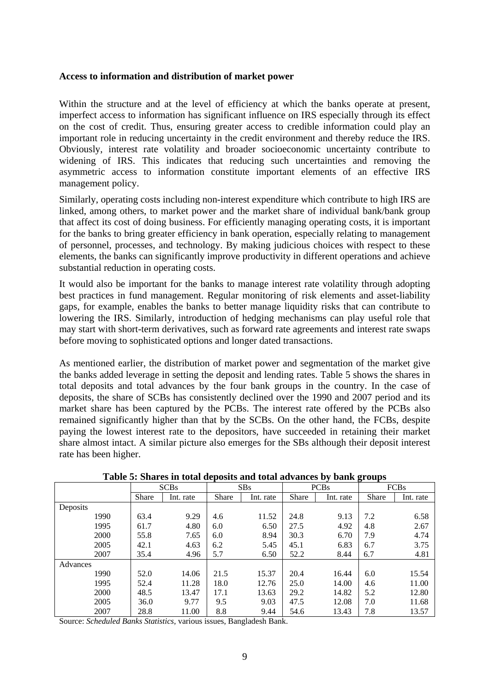#### **Access to information and distribution of market power**

Within the structure and at the level of efficiency at which the banks operate at present, imperfect access to information has significant influence on IRS especially through its effect on the cost of credit. Thus, ensuring greater access to credible information could play an important role in reducing uncertainty in the credit environment and thereby reduce the IRS. Obviously, interest rate volatility and broader socioeconomic uncertainty contribute to widening of IRS. This indicates that reducing such uncertainties and removing the asymmetric access to information constitute important elements of an effective IRS management policy.

Similarly, operating costs including non-interest expenditure which contribute to high IRS are linked, among others, to market power and the market share of individual bank/bank group that affect its cost of doing business. For efficiently managing operating costs, it is important for the banks to bring greater efficiency in bank operation, especially relating to management of personnel, processes, and technology. By making judicious choices with respect to these elements, the banks can significantly improve productivity in different operations and achieve substantial reduction in operating costs.

It would also be important for the banks to manage interest rate volatility through adopting best practices in fund management. Regular monitoring of risk elements and asset-liability gaps, for example, enables the banks to better manage liquidity risks that can contribute to lowering the IRS. Similarly, introduction of hedging mechanisms can play useful role that may start with short-term derivatives, such as forward rate agreements and interest rate swaps before moving to sophisticated options and longer dated transactions.

As mentioned earlier, the distribution of market power and segmentation of the market give the banks added leverage in setting the deposit and lending rates. Table 5 shows the shares in total deposits and total advances by the four bank groups in the country. In the case of deposits, the share of SCBs has consistently declined over the 1990 and 2007 period and its market share has been captured by the PCBs. The interest rate offered by the PCBs also remained significantly higher than that by the SCBs. On the other hand, the FCBs, despite paying the lowest interest rate to the depositors, have succeeded in retaining their market share almost intact. A similar picture also emerges for the SBs although their deposit interest rate has been higher.

|          | <b>SCBs</b>  |           | SBs          |           | <b>PCBs</b>  |           | o<br><b>FCBs</b> |           |
|----------|--------------|-----------|--------------|-----------|--------------|-----------|------------------|-----------|
|          | <b>Share</b> | Int. rate | <b>Share</b> | Int. rate | <b>Share</b> | Int. rate | Share            | Int. rate |
| Deposits |              |           |              |           |              |           |                  |           |
| 1990     | 63.4         | 9.29      | 4.6          | 11.52     | 24.8         | 9.13      | 7.2              | 6.58      |
| 1995     | 61.7         | 4.80      | 6.0          | 6.50      | 27.5         | 4.92      | 4.8              | 2.67      |
| 2000     | 55.8         | 7.65      | 6.0          | 8.94      | 30.3         | 6.70      | 7.9              | 4.74      |
| 2005     | 42.1         | 4.63      | 6.2          | 5.45      | 45.1         | 6.83      | 6.7              | 3.75      |
| 2007     | 35.4         | 4.96      | 5.7          | 6.50      | 52.2         | 8.44      | 6.7              | 4.81      |
| Advances |              |           |              |           |              |           |                  |           |
| 1990     | 52.0         | 14.06     | 21.5         | 15.37     | 20.4         | 16.44     | 6.0              | 15.54     |
| 1995     | 52.4         | 11.28     | 18.0         | 12.76     | 25.0         | 14.00     | 4.6              | 11.00     |
| 2000     | 48.5         | 13.47     | 17.1         | 13.63     | 29.2         | 14.82     | 5.2              | 12.80     |
| 2005     | 36.0         | 9.77      | 9.5          | 9.03      | 47.5         | 12.08     | 7.0              | 11.68     |
| 2007     | 28.8         | 11.00     | 8.8          | 9.44      | 54.6         | 13.43     | 7.8              | 13.57     |

Source: *Scheduled Banks Statistics,* various issues, Bangladesh Bank.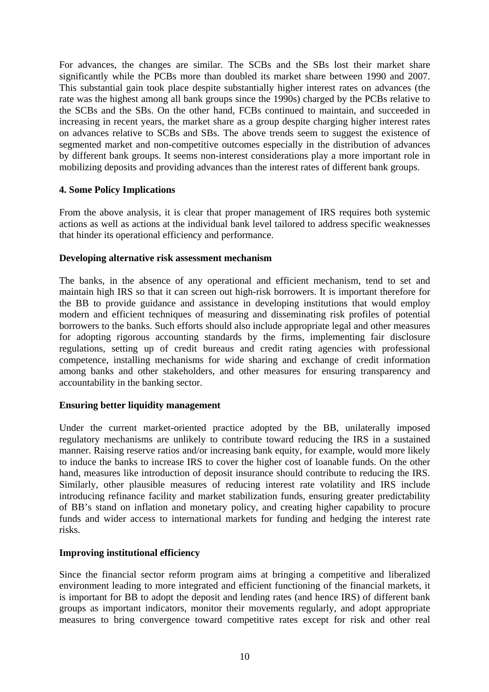For advances, the changes are similar. The SCBs and the SBs lost their market share significantly while the PCBs more than doubled its market share between 1990 and 2007. This substantial gain took place despite substantially higher interest rates on advances (the rate was the highest among all bank groups since the 1990s) charged by the PCBs relative to the SCBs and the SBs. On the other hand, FCBs continued to maintain, and succeeded in increasing in recent years, the market share as a group despite charging higher interest rates on advances relative to SCBs and SBs. The above trends seem to suggest the existence of segmented market and non-competitive outcomes especially in the distribution of advances by different bank groups. It seems non-interest considerations play a more important role in mobilizing deposits and providing advances than the interest rates of different bank groups.

### **4. Some Policy Implications**

From the above analysis, it is clear that proper management of IRS requires both systemic actions as well as actions at the individual bank level tailored to address specific weaknesses that hinder its operational efficiency and performance.

#### **Developing alternative risk assessment mechanism**

The banks, in the absence of any operational and efficient mechanism, tend to set and maintain high IRS so that it can screen out high-risk borrowers. It is important therefore for the BB to provide guidance and assistance in developing institutions that would employ modern and efficient techniques of measuring and disseminating risk profiles of potential borrowers to the banks. Such efforts should also include appropriate legal and other measures for adopting rigorous accounting standards by the firms, implementing fair disclosure regulations, setting up of credit bureaus and credit rating agencies with professional competence, installing mechanisms for wide sharing and exchange of credit information among banks and other stakeholders, and other measures for ensuring transparency and accountability in the banking sector.

# **Ensuring better liquidity management**

Under the current market-oriented practice adopted by the BB, unilaterally imposed regulatory mechanisms are unlikely to contribute toward reducing the IRS in a sustained manner. Raising reserve ratios and/or increasing bank equity, for example, would more likely to induce the banks to increase IRS to cover the higher cost of loanable funds. On the other hand, measures like introduction of deposit insurance should contribute to reducing the IRS. Similarly, other plausible measures of reducing interest rate volatility and IRS include introducing refinance facility and market stabilization funds, ensuring greater predictability of BB's stand on inflation and monetary policy, and creating higher capability to procure funds and wider access to international markets for funding and hedging the interest rate risks.

#### **Improving institutional efficiency**

Since the financial sector reform program aims at bringing a competitive and liberalized environment leading to more integrated and efficient functioning of the financial markets, it is important for BB to adopt the deposit and lending rates (and hence IRS) of different bank groups as important indicators, monitor their movements regularly, and adopt appropriate measures to bring convergence toward competitive rates except for risk and other real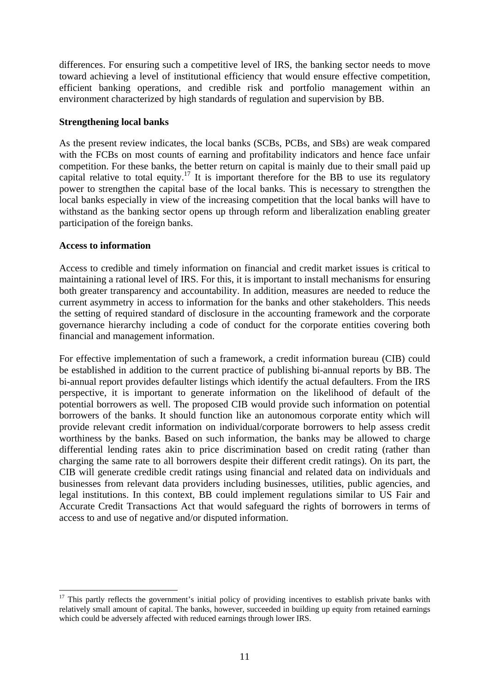differences. For ensuring such a competitive level of IRS, the banking sector needs to move toward achieving a level of institutional efficiency that would ensure effective competition, efficient banking operations, and credible risk and portfolio management within an environment characterized by high standards of regulation and supervision by BB.

#### **Strengthening local banks**

As the present review indicates, the local banks (SCBs, PCBs, and SBs) are weak compared with the FCBs on most counts of earning and profitability indicators and hence face unfair competition. For these banks, the better return on capital is mainly due to their small paid up capital relative to total equity.<sup>17</sup> It is important therefore for the BB to use its regulatory power to strengthen the capital base of the local banks. This is necessary to strengthen the local banks especially in view of the increasing competition that the local banks will have to withstand as the banking sector opens up through reform and liberalization enabling greater participation of the foreign banks.

### **Access to information**

 $\overline{a}$ 

Access to credible and timely information on financial and credit market issues is critical to maintaining a rational level of IRS. For this, it is important to install mechanisms for ensuring both greater transparency and accountability. In addition, measures are needed to reduce the current asymmetry in access to information for the banks and other stakeholders. This needs the setting of required standard of disclosure in the accounting framework and the corporate governance hierarchy including a code of conduct for the corporate entities covering both financial and management information.

For effective implementation of such a framework, a credit information bureau (CIB) could be established in addition to the current practice of publishing bi-annual reports by BB. The bi-annual report provides defaulter listings which identify the actual defaulters. From the IRS perspective, it is important to generate information on the likelihood of default of the potential borrowers as well. The proposed CIB would provide such information on potential borrowers of the banks. It should function like an autonomous corporate entity which will provide relevant credit information on individual/corporate borrowers to help assess credit worthiness by the banks. Based on such information, the banks may be allowed to charge differential lending rates akin to price discrimination based on credit rating (rather than charging the same rate to all borrowers despite their different credit ratings). On its part, the CIB will generate credible credit ratings using financial and related data on individuals and businesses from relevant data providers including businesses, utilities, public agencies, and legal institutions. In this context, BB could implement regulations similar to US Fair and Accurate Credit Transactions Act that would safeguard the rights of borrowers in terms of access to and use of negative and/or disputed information.

<span id="page-11-0"></span> $17$  This partly reflects the government's initial policy of providing incentives to establish private banks with relatively small amount of capital. The banks, however, succeeded in building up equity from retained earnings which could be adversely affected with reduced earnings through lower IRS.